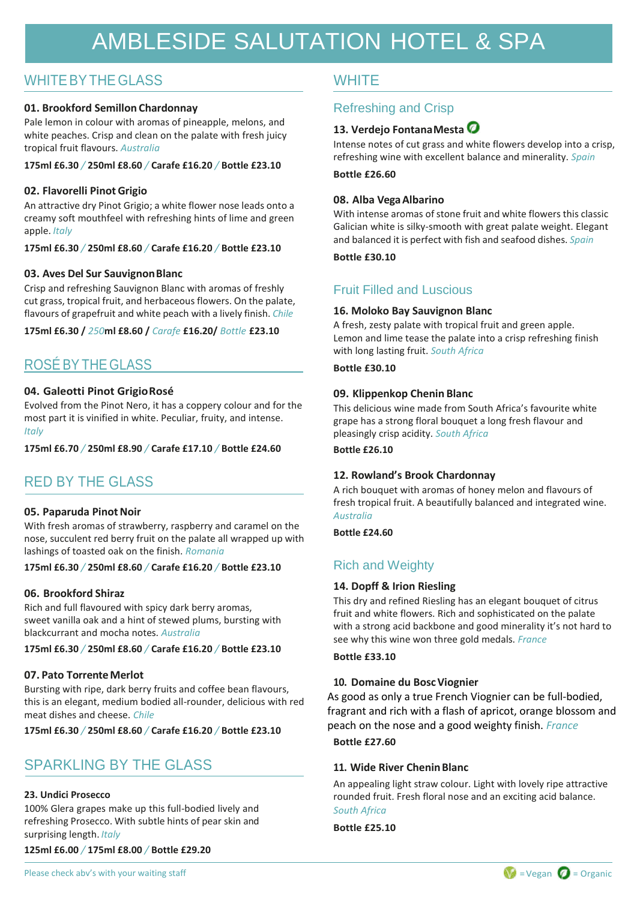# AMBLESIDE SALUTATION HOTEL & SPA

### WHITE BY THE GLASS WHITE

### **01. Brookford Semillon Chardonnay**

Pale lemon in colour with aromas of pineapple, melons, and white peaches. Crisp and clean on the palate with fresh juicy tropical fruit flavours. *Australia*

#### **175ml £6.30** */* **250ml £8.60** */* **Carafe £16.20** */* **Bottle £23.10**

### **02. Flavorelli PinotGrigio**

An attractive dry Pinot Grigio; a white flower nose leads onto a creamy soft mouthfeel with refreshing hints of lime and green apple. *Italy*

**175ml £6.30** */* **250ml £8.60** */* **Carafe £16.20** */* **Bottle £23.10**

### **03. Aves Del Sur SauvignonBlanc**

Crisp and refreshing Sauvignon Blanc with aromas of freshly cut grass, tropical fruit, and herbaceous flowers. On the palate, flavours of grapefruit and white peach with a lively finish. *Chile*

**175ml £6.30 /** *250***ml £8.60 /** *Carafe* **£16.20/** *Bottle* **£23.10**

### ROSÉ BY THE GLASS

### **04. Galeotti Pinot GrigioRosé**

Evolved from the Pinot Nero, it has a coppery colour and for the most part it is vinified in white. Peculiar, fruity, and intense. *Italy*

**175ml £6.70** */* **250ml £8.90** */* **Carafe £17.10** */* **Bottle £24.60**

### RED BY THE GLASS

### **05. Paparuda Pinot Noir**

With fresh aromas of strawberry, raspberry and caramel on the nose, succulent red berry fruit on the palate all wrapped up with lashings of toasted oak on the finish. *Romania*

#### **175ml £6.30** */* **250ml £8.60** */* **Carafe £16.20** */* **Bottle £23.10**

### **06. Brookford Shiraz**

Rich and full flavoured with spicy dark berry aromas, sweet vanilla oak and a hint of stewed plums, bursting with blackcurrant and mocha notes. *Australia*

**175ml £6.30** */* **250ml £8.60** */* **Carafe £16.20** */* **Bottle £23.10**

### **07. Pato TorrenteMerlot**

Bursting with ripe, dark berry fruits and coffee bean flavours, this is an elegant, medium bodied all-rounder, delicious with red meat dishes and cheese. *Chile*

**175ml £6.30** */* **250ml £8.60** */* **Carafe £16.20** */* **Bottle £23.10**

### SPARKLING BY THE GLASS

#### **23. Undici Prosecco**

100% Glera grapes make up this full-bodied lively and refreshing Prosecco. With subtle hints of pear skin and surprising length. *Italy*

**125ml £6.00** */* **175ml £8.00** */* **Bottle £29.20**

### Refreshing and Crisp

### **13. Verdejo FontanaMesta**

Intense notes of cut grass and white flowers develop into a crisp, refreshing wine with excellent balance and minerality. *Spain*

### **Bottle £26.60**

### **08. Alba VegaAlbarino**

With intense aromas of stone fruit and white flowers this classic Galician white is silky-smooth with great palate weight. Elegant and balanced it is perfect with fish and seafood dishes. *Spain*

**Bottle £30.10**

### Fruit Filled and Luscious

### **16. Moloko Bay Sauvignon Blanc**

A fresh, zesty palate with tropical fruit and green apple. Lemon and lime tease the palate into a crisp refreshing finish with long lasting fruit. *South Africa*

**Bottle £30.10**

### **09. Klippenkop Chenin Blanc**

This delicious wine made from South Africa's favourite white grape has a strong floral bouquet a long fresh flavour and pleasingly crisp acidity. *South Africa*

**Bottle £26.10**

### **12. Rowland's Brook Chardonnay**

A rich bouquet with aromas of honey melon and flavours of fresh tropical fruit. A beautifully balanced and integrated wine. *Australia*

**Bottle £24.60**

### Rich and Weighty

### **14. Dopff & Irion Riesling**

This dry and refined Riesling has an elegant bouquet of citrus fruit and white flowers. Rich and sophisticated on the palate with a strong acid backbone and good minerality it's not hard to see why this wine won three gold medals. *France*

#### **Bottle £33.10**

### **10. Domaine du BoscViognier**

As good as only a true French Viognier can be full-bodied, fragrant and rich with a flash of apricot, orange blossom and peach on the nose and a good weighty finish. *France*

### **Bottle £27.60**

### **11. Wide River CheninBlanc**

An appealing light straw colour. Light with lovely ripe attractive rounded fruit. Fresh floral nose and an exciting acid balance. *South Africa*

**Bottle £25.10**